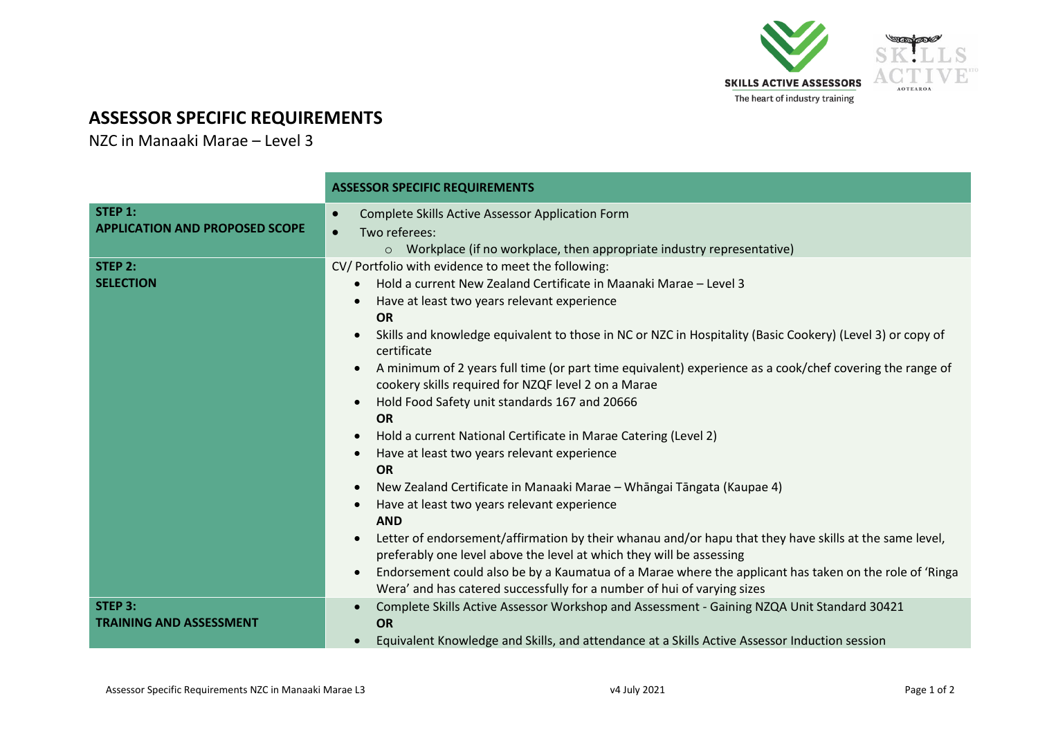

## **ASSESSOR SPECIFIC REQUIREMENTS**

NZC in Manaaki Marae – Level 3

|                                                  | <b>ASSESSOR SPECIFIC REQUIREMENTS</b>                                                                                                                                                                                                                                                                                                                                                                                                                                                                                                                                                                                                                                                                                                                                                                                                                                                                                                                                                                                                                                                                                                                                                                                               |  |  |
|--------------------------------------------------|-------------------------------------------------------------------------------------------------------------------------------------------------------------------------------------------------------------------------------------------------------------------------------------------------------------------------------------------------------------------------------------------------------------------------------------------------------------------------------------------------------------------------------------------------------------------------------------------------------------------------------------------------------------------------------------------------------------------------------------------------------------------------------------------------------------------------------------------------------------------------------------------------------------------------------------------------------------------------------------------------------------------------------------------------------------------------------------------------------------------------------------------------------------------------------------------------------------------------------------|--|--|
| STEP 1:<br><b>APPLICATION AND PROPOSED SCOPE</b> | Complete Skills Active Assessor Application Form<br>Two referees:<br>$\circ$ Workplace (if no workplace, then appropriate industry representative)                                                                                                                                                                                                                                                                                                                                                                                                                                                                                                                                                                                                                                                                                                                                                                                                                                                                                                                                                                                                                                                                                  |  |  |
| STEP 2:<br><b>SELECTION</b>                      | CV/ Portfolio with evidence to meet the following:<br>Hold a current New Zealand Certificate in Maanaki Marae - Level 3<br>$\bullet$<br>Have at least two years relevant experience<br><b>OR</b><br>Skills and knowledge equivalent to those in NC or NZC in Hospitality (Basic Cookery) (Level 3) or copy of<br>certificate<br>A minimum of 2 years full time (or part time equivalent) experience as a cook/chef covering the range of<br>cookery skills required for NZQF level 2 on a Marae<br>Hold Food Safety unit standards 167 and 20666<br><b>OR</b><br>Hold a current National Certificate in Marae Catering (Level 2)<br>$\bullet$<br>Have at least two years relevant experience<br><b>OR</b><br>New Zealand Certificate in Manaaki Marae - Whāngai Tāngata (Kaupae 4)<br>$\bullet$<br>Have at least two years relevant experience<br><b>AND</b><br>Letter of endorsement/affirmation by their whanau and/or hapu that they have skills at the same level,<br>preferably one level above the level at which they will be assessing<br>Endorsement could also be by a Kaumatua of a Marae where the applicant has taken on the role of 'Ringa<br>Wera' and has catered successfully for a number of hui of varying sizes |  |  |
| STEP 3:<br><b>TRAINING AND ASSESSMENT</b>        | Complete Skills Active Assessor Workshop and Assessment - Gaining NZQA Unit Standard 30421<br><b>OR</b><br>Equivalent Knowledge and Skills, and attendance at a Skills Active Assessor Induction session                                                                                                                                                                                                                                                                                                                                                                                                                                                                                                                                                                                                                                                                                                                                                                                                                                                                                                                                                                                                                            |  |  |